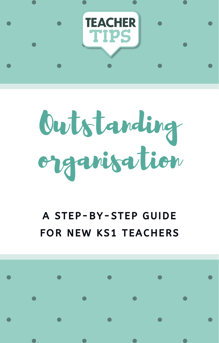

## Outstanding organisation

## A STEP-BY-STEP GUIDE FOR NEW KS1 TEACHERS

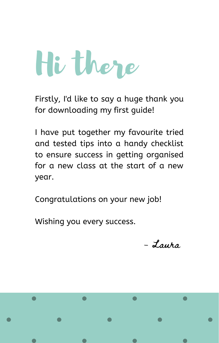## Hi there

Firstly, I'd like to say a huge thank you for downloading my first guide!

I have put together my favourite tried and tested tips into a handy checklist to ensure success in getting organised for a new class at the start of a new year.

Congratulations on your new job!

Wishing you every success.

- Laura

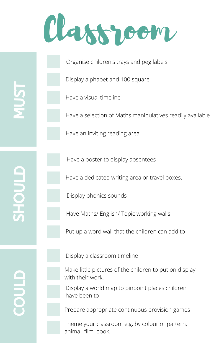## Classroom

Organise children's trays and peg labels

Display alphabet and 100 square

Have a visual timeline

Have a selection of Maths manipulatives readily available

Have an inviting reading area

Have a poster to display absentees

Have a dedicated writing area or travel boxes.

Display phonics sounds

Have Maths/ English/ Topic working walls

Put up a word wall that the children can add to

 $\boldsymbol{\mathsf{\Omega}}$  . HO $\Box$ L $\Box$ 

 $\boldsymbol{\Sigma}$  $\Box$ 

 $\overline{\bm{5}}$ 

Display a classroom timeline

Make little pictures of the children to put on display with their work.

Display a world map to pinpoint places children have been to

Prepare appropriate continuous provision games

Theme your classroom e.g. by colour or pattern, animal, film, book.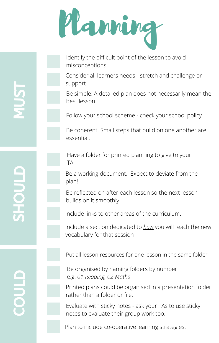

Identify the difficult point of the lesson to avoid misconceptions.

Consider all learners needs - stretch and challenge or support

Be simple! A detailed plan does not necessarily mean the best lesson

Follow your school scheme - check your school policy

Be coherent. Small steps that build on one another are essential.

Have a folder for printed planning to give to your TA.

Be a working document. Expect to deviate from the plan!

Be reflected on after each lesson so the next lesson builds on it smoothly.

Include links to other areas of the curriculum.

Include a section dedicated to *how* you will teach the new vocabulary for that session

Put all lesson resources for one lesson in the same folder

Be organised by naming folders by number e.g. *01 Reading, 02 Maths*

Printed plans could be organised in a presentation folder rather than a folder or file.

Evaluate with sticky notes - ask your TAs to use sticky notes to evaluate their group work too.

Plan to include co-operative learning strategies.

 $\boldsymbol{\cup}$ O $\Box$ L $\Box$ 

 $\boldsymbol{\mathsf{\Omega}}$  . HO $\Box$ L $\Box$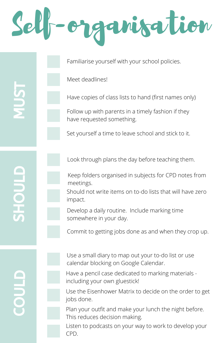Self-organisation

Familiarise yourself with your school policies.

Meet deadlines!

Have copies of class lists to hand (first names only)

Follow up with parents in a timely fashion if they have requested something.

Set yourself a time to leave school and stick to it.

Look through plans the day before teaching them.

Keep folders organised in subjects for CPD notes from meetings.

Should not write items on to-do lists that will have zero impact.

Develop a daily routine. Include marking time somewhere in your day.

Commit to getting jobs done as and when they crop up.

 $\mathbf{\mathbf{\mathbf{\mathbf{\mathbf{C}}}}}$ O $\Box$ L $\Box$ 

 $\boldsymbol{\mathsf{\Omega}}$  . HO $\Box$ L $\Box$ 

 $\boldsymbol{\Sigma}$  $\Box$ 

 $\overline{\bm{5}}$ 

Use a small diary to map out your to-do list or use calendar blocking on Google Calendar.

including your own gluestick!

Have a pencil case dedicated to marking materials -

Use the Eisenhower Matrix to decide on the order to get jobs done.

Plan your outfit and make your lunch the night before. This reduces decision making.

Listen to podcasts on your way to work to develop your CPD.